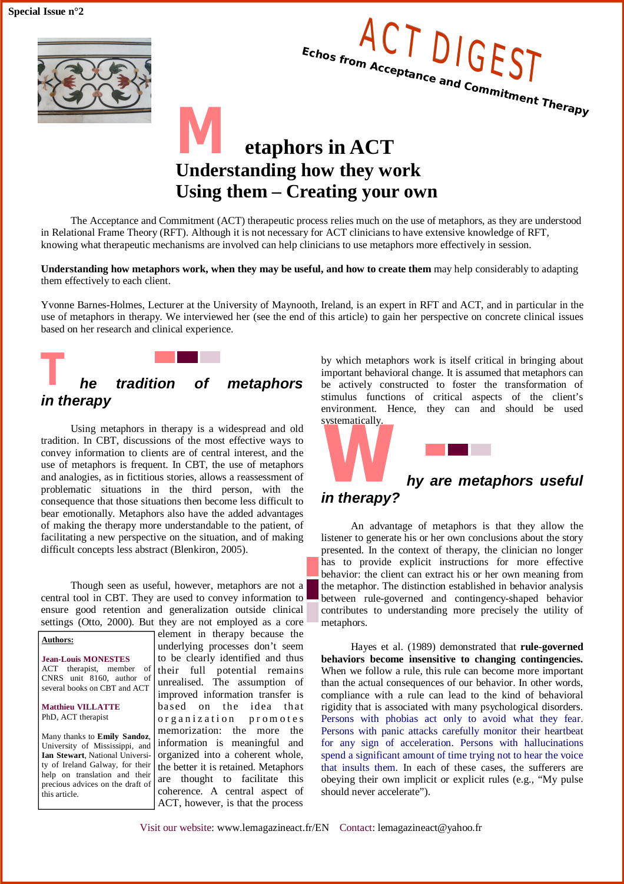**Special Issue n°2**





## *M* **etaphors in ACT Understanding how they work Using them – Creating your own**

The Acceptance and Commitment (ACT) therapeutic process relies much on the use of metaphors, as they are understood in Relational Frame Theory (RFT). Although it is not necessary for ACT clinicians to have extensive knowledge of RFT, knowing what therapeutic mechanisms are involved can help clinicians to use metaphors more effectively in session.

**Understanding how metaphors work, when they may be useful, and how to create them** may help considerably to adapting them effectively to each client.

Yvonne Barnes-Holmes, Lecturer at the University of Maynooth, Ireland, is an expert in RFT and ACT, and in particular in the use of metaphors in therapy. We interviewed her (see the end of this article) to gain her perspective on concrete clinical issues based on her research and clinical experience.

# *T he tradition of metaphors in therapy*

Using metaphors in therapy is a widespread and old tradition. In CBT, discussions of the most effective ways to convey information to clients are of central interest, and the use of metaphors is frequent. In CBT, the use of metaphors and analogies, as in fictitious stories, allows a reassessment of problematic situations in the third person, with the consequence that those situations then become less difficult to bear emotionally. Metaphors also have the added advantages of making the therapy more understandable to the patient, of facilitating a new perspective on the situation, and of making difficult concepts less abstract (Blenkiron, 2005).

Though seen as useful, however, metaphors are not a central tool in CBT. They are used to convey information to ensure good retention and generalization outside clinical settings (Otto, 2000). But they are not employed as a core

#### **Authors:**

**Jean-Louis MONESTES** ACT therapist, member of CNRS unit 8160, author of several books on CBT and ACT

#### **Matthieu VILLATTE** PhD, ACT therapist

Many thanks to **Emily Sandoz**, University of Mississippi, and **Ian Stewart**, National University of Ireland Galway, for their help on translation and their precious advices on the draft of this article.

element in therapy because the underlying processes don't seem to be clearly identified and thus their full potential remains unrealised. The assumption of improved information transfer is ba sed on the idea that organization promotes memorization: the more the information is meaningful and organized into a coherent whole, the better it is retained. Metaphors are thought to facilitate this coherence. A central aspect of ACT, however, is that the process

by which metaphors work is itself critical in bringing about important behavioral change. It is assumed that metaphors can be actively constructed to foster the transformation of stimulus functions of critical aspects of the client's environment. Hence, they can and should be used systematically.



An advantage of metaphors is that they allow the listener to generate his or her own conclusions about the story presented. In the context of therapy, the clinician no longer has to provide explicit instructions for more effective behavior: the client can extract his or her own meaning from the metaphor. The distinction established in behavior analysis between rule-governed and contingency-shaped behavior contributes to understanding more precisely the utility of metaphors.

Hayes et al. (1989) demonstrated that **rule-governed behaviors become insensitive to changing contingencies.** When we follow a rule, this rule can become more important than the actual consequences of our behavior. In other words, compliance with a rule can lead to the kind of behavioral rigidity that is associated with many psychological disorders. Persons with phobias act only to avoid what they fear. Persons with panic attacks carefully monitor their heartbeat for any sign of acceleration. Persons with hallucinations spend a significant amount of time trying not to hear the voice that insults them. In each of these cases, the sufferers are obeying their own implicit or explicit rules (e.g., "My pulse should never accelerate").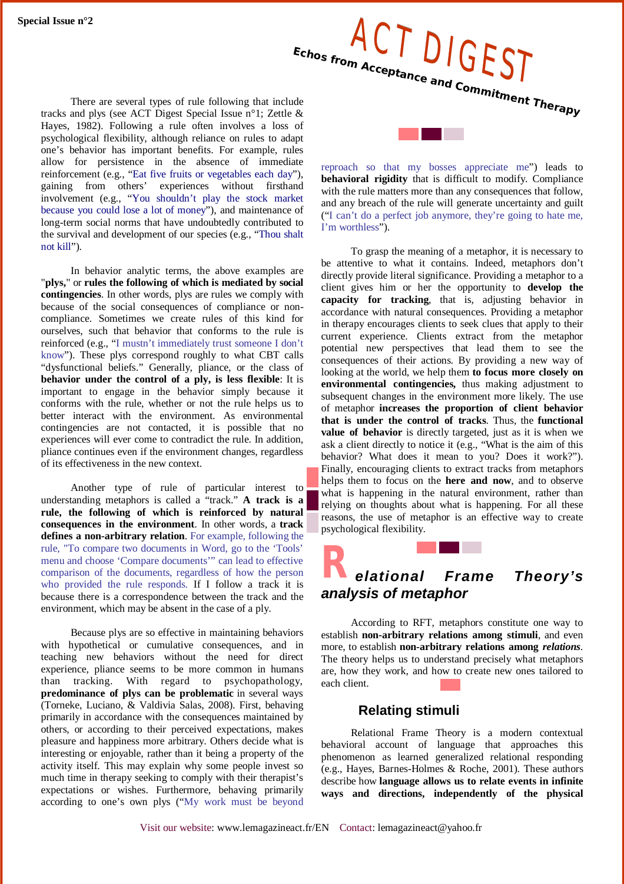Special Issue n°2<br>Echos from Acceptance **CCT Echos from Acceptance and Commitment Therapy**

There are several types of rule following that include tracks and plys (see ACT Digest Special Issue n°1; Zettle & Hayes, 1982). Following a rule often involves a loss of psychological flexibility, although reliance on rules to adapt one's behavior has important benefits. For example, rules allow for persistence in the absence of immediate reinforcement (e.g., "Eat five fruits or vegetables each day"), gaining from others' experiences without firsthand involvement (e.g., "You shouldn't play the stock market because you could lose a lot of money"), and maintenance of long-term social norms that have undoubtedly contributed to the survival and development of our species (e.g., "Thou shalt not kill").

In behavior analytic terms, the above examples are "**plys,**" or **rules the following of which is mediated by social contingencies**. In other words, plys are rules we comply with because of the social consequences of compliance or noncompliance. Sometimes we create rules of this kind for ourselves, such that behavior that conforms to the rule is reinforced (e.g., "I mustn't immediately trust someone I don't know"). These plys correspond roughly to what CBT calls "dysfunctional beliefs." Generally, pliance, or the class of **behavior under the control of a ply, is less flexible**: It is important to engage in the behavior simply because it conforms with the rule, whether or not the rule helps us to better interact with the environment. As environmental contingencies are not contacted, it is possible that no experiences will ever come to contradict the rule. In addition, pliance continues even if the environment changes, regardless of its effectiveness in the new context.

Another type of rule of particular interest to understanding metaphors is called a "track." **A track is a rule, the following of which is reinforced by natural consequences in the environment**. In other words, a **track defines a non-arbitrary relation**. For example, following the rule, "To compare two documents in Word, go to the 'Tools' menu and choose 'Compare documents'" can lead to effective comparison of the documents, regardless of how the person who provided the rule responds. If I follow a track it is because there is a correspondence between the track and the environment, which may be absent in the case of a ply.

Because plys are so effective in maintaining behaviors with hypothetical or cumulative consequences, and in teaching new behaviors without the need for direct experience, pliance seems to be more common in humans than tracking. With regard to psychopathology, **predominance of plys can be problematic** in several ways (Torneke, Luciano, & Valdivia Salas, 2008). First, behaving primarily in accordance with the consequences maintained by others, or according to their perceived expectations, makes pleasure and happiness more arbitrary. Others decide what is interesting or enjoyable, rather than it being a property of the activity itself. This may explain why some people invest so much time in therapy seeking to comply with their therapist's expectations or wishes. Furthermore, behaving primarily according to one's own plys ("My work must be beyond

reproach so that my bosses appreciate me") leads to **behavioral rigidity** that is difficult to modify. Compliance with the rule matters more than any consequences that follow, and any breach of the rule will generate uncertainty and guilt ("I can't do a perfect job anymore, they're going to hate me, I'm worthless").

To grasp the meaning of a metaphor, it is necessary to be attentive to what it contains. Indeed, metaphors don't directly provide literal significance. Providing a metaphor to a client gives him or her the opportunity to **develop the capacity for tracking**, that is, adjusting behavior in accordance with natural consequences. Providing a metaphor in therapy encourages clients to seek clues that apply to their current experience. Clients extract from the metaphor potential new perspectives that lead them to see the consequences of their actions. By providing a new way of looking at the world, we help them **to focus more closely on environmental contingencies,** thus making adjustment to subsequent changes in the environment more likely. The use of metaphor **increases the proportion of client behavior that is under the control of tracks**. Thus, the **functional value of behavior** is directly targeted, just as it is when we ask a client directly to notice it (e.g., "What is the aim of this behavior? What does it mean to you? Does it work?"). Finally, encouraging clients to extract tracks from metaphors helps them to focus on the **here and now**, and to observe what is happening in the natural environment, rather than relying on thoughts about what is happening. For all these reasons, the use of metaphor is an effective way to create psychological flexibility.

## *Relational Frame Theory's analysis of metaphor*

According to RFT, metaphors constitute one way to establish **non-arbitrary relations among stimuli**, and even more, to establish **non-arbitrary relations among** *relations*. The theory helps us to understand precisely what metaphors are, how they work, and how to create new ones tailored to each client.

#### **Relating stimuli**

Relational Frame Theory is a modern contextual behavioral account of language that approaches this phenomenon as learned generalized relational responding (e.g., Hayes, Barnes-Holmes & Roche, 2001). These authors describe how **language allows us to relate events in infinite ways and directions, independently of the physical**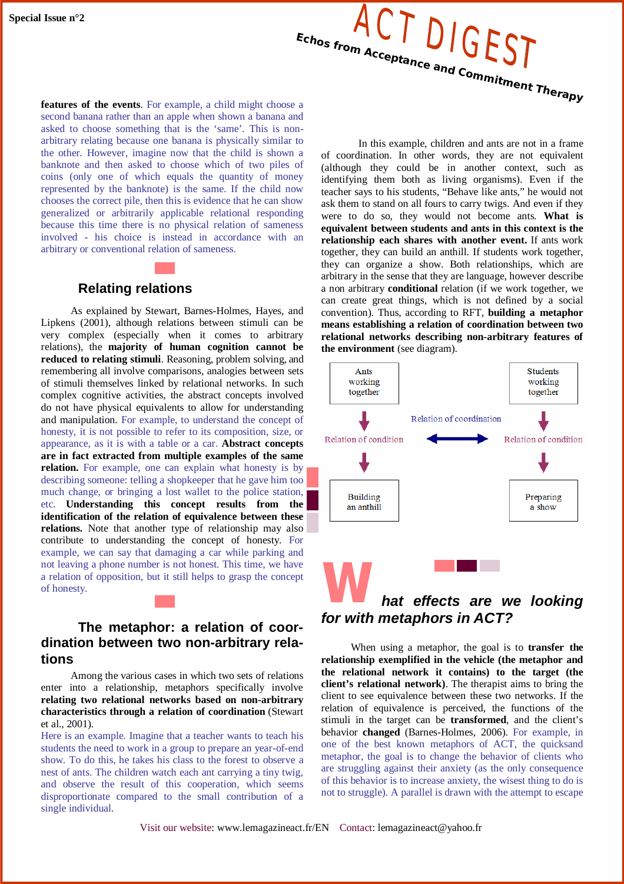

**features of the events**. For example, a child might choose a second banana rather than an apple when shown a banana and asked to choose something that is the 'same'. This is nonarbitrary relating because one banana is physically similar to the other. However, imagine now that the child is shown a banknote and then asked to choose which of two piles of coins (only one of which equals the quantity of money represented by the banknote) is the same. If the child now chooses the correct pile, then this is evidence that he can show generalized or arbitrarily applicable relational responding because this time there is no physical relation of sameness involved - his choice is instead in accordance with an arbitrary or conventional relation of sameness.

#### **Relating relations**

As explained by Stewart, Barnes-Holmes, Hayes, and Lipkens (2001), although relations between stimuli can be very complex (especially when it comes to arbitrary relations), the **majority of human cognition cannot be reduced to relating stimuli**. Reasoning, problem solving, and remembering all involve comparisons, analogies between sets of stimuli themselves linked by relational networks. In such complex cognitive activities, the abstract concepts involved do not have physical equivalents to allow for understanding and manipulation. For example, to understand the concept of honesty, it is not possible to refer to its composition, size, or appearance, as it is with a table or a car. **Abstract concepts are in fact extracted from multiple examples of the same relation.** For example, one can explain what honesty is by describing someone: telling a shopkeeper that he gave him too much change, or bringing a lost wallet to the police station. etc. **Understanding this concept results from the identification of the relation of equivalence between these**  relations. Note that another type of relationship may also contribute to understanding the concept of honesty. For example, we can say that damaging a car while parking and not leaving a phone number is not honest. This time, we have a relation of opposition, but it still helps to grasp the concept of honesty.

#### **The metaphor: a relation of coordination between two non-arbitrary relations**

Among the various cases in which two sets of relations enter into a relationship, metaphors specifically involve **relating two relational networks based on non-arbitrary characteristics through a relation of coordination** (Stewart et al., 2001).

Here is an example. Imagine that a teacher wants to teach his students the need to work in a group to prepare an year-of-end show. To do this, he takes his class to the forest to observe a nest of ants. The children watch each ant carrying a tiny twig, and observe the result of this cooperation, which seems disproportionate compared to the small contribution of a single individual.

In this example, children and ants are not in a frame of coordination. In other words, they are not equivalent (although they could be in another context, such as identifying them both as living organisms). Even if the teacher says to his students, "Behave like ants," he would not ask them to stand on all fours to carry twigs. And even if they were to do so, they would not become ants. **What is equivalent between students and ants in this context is the relationship each shares with another event.** If ants work together, they can build an anthill. If students work together, they can organize a show. Both relationships, which are arbitrary in the sense that they are language, however describe a non arbitrary **conditional** relation (if we work together, we can create great things, which is not defined by a social convention). Thus, according to RFT, **building a metaphor means establishing a relation of coordination between two relational networks describing non-arbitrary features of the environment** (see diagram).



When using a metaphor, the goal is to **transfer the relationship exemplified in the vehicle (the metaphor and the relational network it contains) to the target (the client's relational network)**. The therapist aims to bring the client to see equivalence between these two networks. If the relation of equivalence is perceived, the functions of the stimuli in the target can be **transformed**, and the client's behavior **changed** (Barnes-Holmes, 2006). For example, in one of the best known metaphors of ACT, the quicksand metaphor, the goal is to change the behavior of clients who are struggling against their anxiety (as the only consequence of this behavior is to increase anxiety, the wisest thing to do is not to struggle). A parallel is drawn with the attempt to escape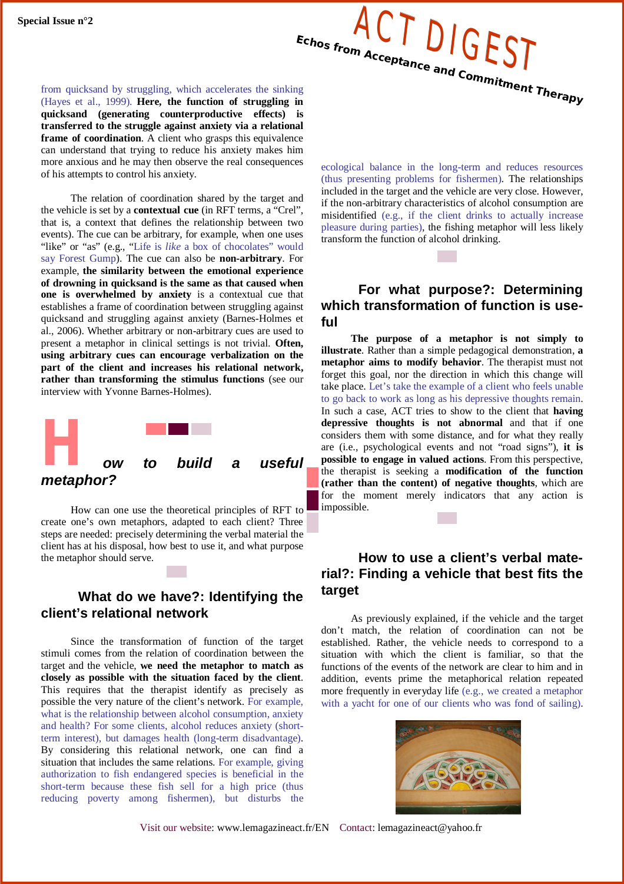

from quicksand by struggling, which accelerates the sinking (Hayes et al., 1999). **Here, the function of struggling in quicksand (generating counterproductive effects) is transferred to the struggle against anxiety via a relational frame of coordination**. A client who grasps this equivalence can understand that trying to reduce his anxiety makes him more anxious and he may then observe the real consequences of his attempts to control his anxiety.

The relation of coordination shared by the target and the vehicle is set by a **contextual cue** (in RFT terms, a "Crel", that is, a context that defines the relationship between two events). The cue can be arbitrary, for example, when one uses "like" or "as" (e.g., "Life is *like* a box of chocolates" would say Forest Gump). The cue can also be **non-arbitrary**. For example, **the similarity between the emotional experience of drowning in quicksand is the same as that caused when one is overwhelmed by anxiety** is a contextual cue that establishes a frame of coordination between struggling against quicksand and struggling against anxiety (Barnes-Holmes et al., 2006). Whether arbitrary or non-arbitrary cues are used to present a metaphor in clinical settings is not trivial. **Often, using arbitrary cues can encourage verbalization on the part of the client and increases his relational network, rather than transforming the stimulus functions** (see our interview with Yvonne Barnes-Holmes).



How can one use the theoretical principles of RFT to create one's own metaphors, adapted to each client? Three steps are needed: precisely determining the verbal material the client has at his disposal, how best to use it, and what purpose the metaphor should serve.

### **What do we have?: Identifying the client's relational network**

Since the transformation of function of the target stimuli comes from the relation of coordination between the target and the vehicle, **we need the metaphor to match as closely as possible with the situation faced by the client**. This requires that the therapist identify as precisely as possible the very nature of the client's network. For example, what is the relationship between alcohol consumption, anxiety and health? For some clients, alcohol reduces anxiety (shortterm interest), but damages health (long-term disadvantage). By considering this relational network, one can find a situation that includes the same relations. For example, giving authorization to fish endangered species is beneficial in the short-term because these fish sell for a high price (thus reducing poverty among fishermen), but disturbs the

ecological balance in the long-term and reduces resources (thus presenting problems for fishermen). The relationships included in the target and the vehicle are very close. However, if the non-arbitrary characteristics of alcohol consumption are misidentified (e.g., if the client drinks to actually increase pleasure during parties), the fishing metaphor will less likely transform the function of alcohol drinking.

## **For what purpose?: Determining which transformation of function is useful**

**The purpose of a metaphor is not simply to illustrate**. Rather than a simple pedagogical demonstration, **a metaphor aims to modify behavior**. The therapist must not forget this goal, nor the direction in which this change will take place. Let's take the example of a client who feels unable to go back to work as long as his depressive thoughts remain. In such a case, ACT tries to show to the client that **having depressive thoughts is not abnormal** and that if one considers them with some distance, and for what they really are (i.e., psychological events and not "road signs"), **it is possible to engage in valued actions**. From this perspective, the therapist is seeking a **modification of the function (rather than the content) of negative thoughts**, which are for the moment merely indicators that any action is impossible.

### **How to use a client's verbal material?: Finding a vehicle that best fits the target**

As previously explained, if the vehicle and the target don't match, the relation of coordination can not be established. Rather, the vehicle needs to correspond to a situation with which the client is familiar, so that the functions of the events of the network are clear to him and in addition, events prime the metaphorical relation repeated more frequently in everyday life (e.g., we created a metaphor with a yacht for one of our clients who was fond of sailing).

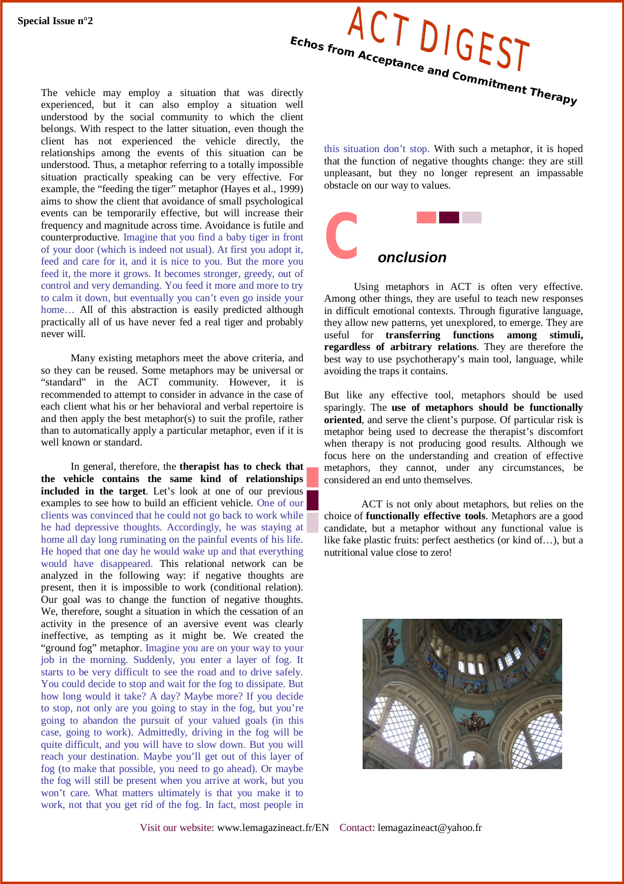

The vehicle may employ a situation that was directly experienced, but it can also employ a situation well understood by the social community to which the client belongs. With respect to the latter situation, even though the client has not experienced the vehicle directly, the relationships among the events of this situation can be understood. Thus, a metaphor referring to a totally impossible situation practically speaking can be very effective. For example, the "feeding the tiger" metaphor (Hayes et al., 1999) aims to show the client that avoidance of small psychological events can be temporarily effective, but will increase their frequency and magnitude across time. Avoidance is futile and counterproductive. Imagine that you find a baby tiger in front of your door (which is indeed not usual). At first you adopt it, feed and care for it, and it is nice to you. But the more you feed it, the more it grows. It becomes stronger, greedy, out of control and very demanding. You feed it more and more to try to calm it down, but eventually you can't even go inside your home... All of this abstraction is easily predicted although practically all of us have never fed a real tiger and probably never will.

Many existing metaphors meet the above criteria, and so they can be reused. Some metaphors may be universal or "standard" in the ACT community. However, it is recommended to attempt to consider in advance in the case of each client what his or her behavioral and verbal repertoire is and then apply the best metaphor(s) to suit the profile, rather than to automatically apply a particular metaphor, even if it is well known or standard.

In general, therefore, the **therapist has to check that the vehicle contains the same kind of relationships included in the target**. Let's look at one of our previous examples to see how to build an efficient vehicle. One of our clients was convinced that he could not go back to work while he had depressive thoughts. Accordingly, he was staying at home all day long ruminating on the painful events of his life. He hoped that one day he would wake up and that everything would have disappeared. This relational network can be analyzed in the following way: if negative thoughts are present, then it is impossible to work (conditional relation). Our goal was to change the function of negative thoughts. We, therefore, sought a situation in which the cessation of an activity in the presence of an aversive event was clearly ineffective, as tempting as it might be. We created the "ground fog" metaphor. Imagine you are on your way to your job in the morning. Suddenly, you enter a layer of fog. It starts to be very difficult to see the road and to drive safely. You could decide to stop and wait for the fog to dissipate. But how long would it take? A day? Maybe more? If you decide to stop, not only are you going to stay in the fog, but you're going to abandon the pursuit of your valued goals (in this case, going to work). Admittedly, driving in the fog will be quite difficult, and you will have to slow down. But you will reach your destination. Maybe you'll get out of this layer of fog (to make that possible, you need to go ahead). Or maybe the fog will still be present when you arrive at work, but you won't care. What matters ultimately is that you make it to work, not that you get rid of the fog. In fact, most people in

this situation don't stop. With such a metaphor, it is hoped that the function of negative thoughts change: they are still unpleasant, but they no longer represent an impassable obstacle on our way to values.



Using metaphors in ACT is often very effective. Among other things, they are useful to teach new responses in difficult emotional contexts. Through figurative language, they allow new patterns, yet unexplored, to emerge. They are useful for **transferring functions among stimuli, regardless of arbitrary relations**. They are therefore the best way to use psychotherapy's main tool, language, while avoiding the traps it contains.

But like any effective tool, metaphors should be used sparingly. The **use of metaphors should be functionally oriented**, and serve the client's purpose. Of particular risk is metaphor being used to decrease the therapist's discomfort when therapy is not producing good results. Although we focus here on the understanding and creation of effective metaphors, they cannot, under any circumstances, be considered an end unto themselves.

ACT is not only about metaphors, but relies on the choice of **functionally effective tools**. Metaphors are a good candidate, but a metaphor without any functional value is like fake plastic fruits: perfect aesthetics (or kind of…), but a nutritional value close to zero!

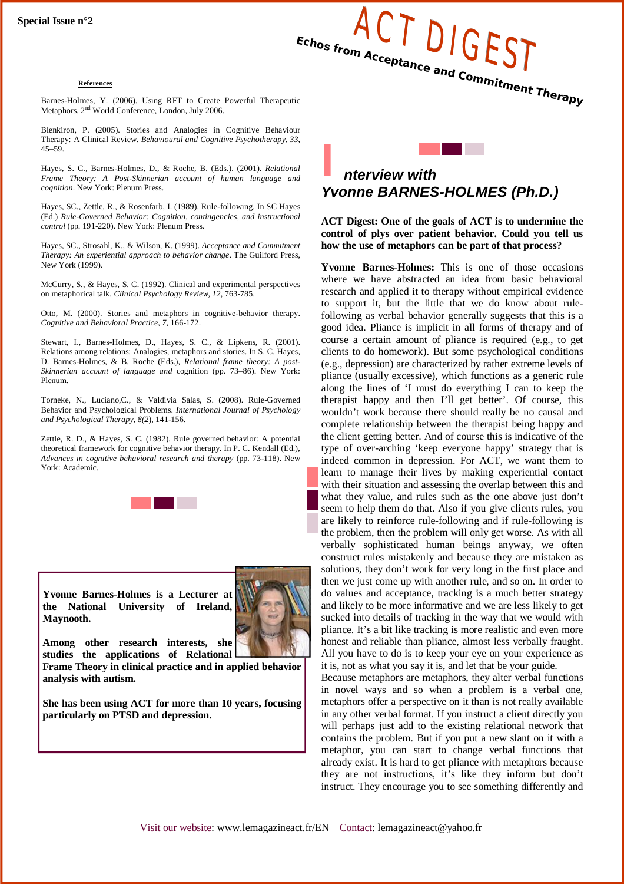#### **References**

**Echos from Acceptance and Commitment Therapy** Barnes-Holmes, Y. (2006). Using RFT to Create Powerful Therapeutic Metaphors. 2<sup>nd</sup> World Conference, London, July 2006.

Blenkiron, P. (2005). Stories and Analogies in Cognitive Behaviour Therapy: A Clinical Review. *Behavioural and Cognitive Psychotherapy, 33*, 45–59.

Hayes, S. C., Barnes-Holmes, D., & Roche, B. (Eds.). (2001). *Relational Frame Theory: A Post-Skinnerian account of human language and cognition*. New York: Plenum Press.

Hayes, SC., Zettle, R., & Rosenfarb, I. (1989). Rule-following. In SC Hayes (Ed.) *Rule-Governed Behavior: Cognition, contingencies, and instructional control* (pp. 191-220). New York: Plenum Press.

Hayes, SC., Strosahl, K., & Wilson, K. (1999). *Acceptance and Commitment Therapy: An experiential approach to behavior change*. The Guilford Press, New York (1999).

McCurry, S., & Hayes, S. C. (1992). Clinical and experimental perspectives on metaphorical talk. *Clinical Psychology Review, 12*, 763-785.

Otto, M. (2000). Stories and metaphors in cognitive-behavior therapy. *Cognitive and Behavioral Practice, 7*, 166-172.

Stewart, I., Barnes-Holmes, D., Hayes, S. C., & Lipkens, R. (2001). Relations among relations: Analogies, metaphors and stories. In S. C. Hayes, D. Barnes-Holmes, & B. Roche (Eds.), *Relational frame theory: A post-Skinnerian account of language and* cognition (pp. 73–86). New York: Plenum.

Torneke, N., Luciano,C., & Valdivia Salas, S. (2008). Rule-Governed Behavior and Psychological Problems. *International Journal of Psychology and Psychological Therapy, 8(2*), 141-156.

Zettle, R. D., & Hayes, S. C. (1982). Rule governed behavior: A potential theoretical framework for cognitive behavior therapy. In P. C. Kendall (Ed.), *Advances in cognitive behavioral research and therapy* (pp. 73-118). New York: Academic.



**Yvonne Barnes-Holmes is a Lecturer at the National University of Ireland, Maynooth.**



**Among other research interests, she studies the applications of Relational** 

**Frame Theory in clinical practice and in applied behavior analysis with autism.**

**She has been using ACT for more than 10 years, focusing particularly on PTSD and depression.**



**ACT Digest: One of the goals of ACT is to undermine the control of plys over patient behavior. Could you tell us how the use of metaphors can be part of that process?**

**Yvonne Barnes-Holmes:** This is one of those occasions where we have abstracted an idea from basic behavioral research and applied it to therapy without empirical evidence to support it, but the little that we do know about rulefollowing as verbal behavior generally suggests that this is a good idea. Pliance is implicit in all forms of therapy and of course a certain amount of pliance is required (e.g., to get clients to do homework). But some psychological conditions (e.g., depression) are characterized by rather extreme levels of pliance (usually excessive), which functions as a generic rule along the lines of 'I must do everything I can to keep the therapist happy and then I'll get better'. Of course, this wouldn't work because there should really be no causal and complete relationship between the therapist being happy and the client getting better. And of course this is indicative of the type of over-arching 'keep everyone happy' strategy that is indeed common in depression. For ACT, we want them to learn to manage their lives by making experiential contact with their situation and assessing the overlap between this and what they value, and rules such as the one above just don't seem to help them do that. Also if you give clients rules, you are likely to reinforce rule-following and if rule-following is the problem, then the problem will only get worse. As with all verbally sophisticated human beings anyway, we often construct rules mistakenly and because they are mistaken as solutions, they don't work for very long in the first place and then we just come up with another rule, and so on. In order to do values and acceptance, tracking is a much better strategy and likely to be more informative and we are less likely to get sucked into details of tracking in the way that we would with pliance. It's a bit like tracking is more realistic and even more honest and reliable than pliance, almost less verbally fraught. All you have to do is to keep your eye on your experience as it is, not as what you say it is, and let that be your guide.

Because metaphors are metaphors, they alter verbal functions in novel ways and so when a problem is a verbal one, metaphors offer a perspective on it than is not really available in any other verbal format. If you instruct a client directly you will perhaps just add to the existing relational network that contains the problem. But if you put a new slant on it with a metaphor, you can start to change verbal functions that already exist. It is hard to get pliance with metaphors because they are not instructions, it's like they inform but don't instruct. They encourage you to see something differently and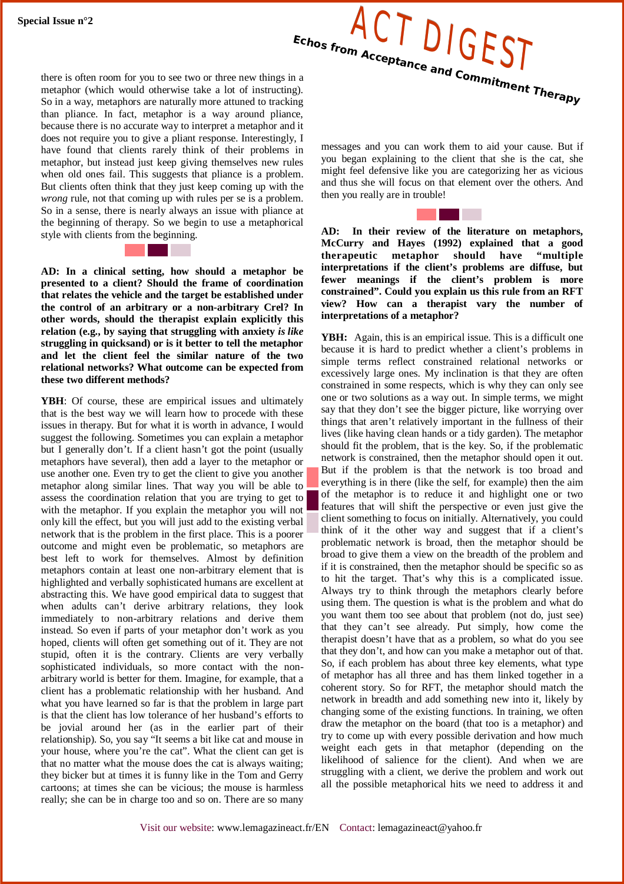

there is often room for you to see two or three new things in a metaphor (which would otherwise take a lot of instructing). So in a way, metaphors are naturally more attuned to tracking than pliance. In fact, metaphor is a way around pliance, because there is no accurate way to interpret a metaphor and it does not require you to give a pliant response. Interestingly, I have found that clients rarely think of their problems in metaphor, but instead just keep giving themselves new rules when old ones fail. This suggests that pliance is a problem. But clients often think that they just keep coming up with the *wrong* rule, not that coming up with rules per se is a problem. So in a sense, there is nearly always an issue with pliance at the beginning of therapy. So we begin to use a metaphorical style with clients from the beginning.



**AD: In a clinical setting, how should a metaphor be presented to a client? Should the frame of coordination that relates the vehicle and the target be established under the control of an arbitrary or a non-arbitrary Crel? In other words, should the therapist explain explicitly this relation (e.g., by saying that struggling with anxiety** *is like* **struggling in quicksand) or is it better to tell the metaphor and let the client feel the similar nature of the two relational networks? What outcome can be expected from these two different methods?**

**YBH**: Of course, these are empirical issues and ultimately that is the best way we will learn how to procede with these issues in therapy. But for what it is worth in advance, I would suggest the following. Sometimes you can explain a metaphor but I generally don't. If a client hasn't got the point (usually metaphors have several), then add a layer to the metaphor or use another one. Even try to get the client to give you another metaphor along similar lines. That way you will be able to assess the coordination relation that you are trying to get to with the metaphor. If you explain the metaphor you will not only kill the effect, but you will just add to the existing verbal network that is the problem in the first place. This is a poorer outcome and might even be problematic, so metaphors are best left to work for themselves. Almost by definition metaphors contain at least one non-arbitrary element that is highlighted and verbally sophisticated humans are excellent at abstracting this. We have good empirical data to suggest that when adults can't derive arbitrary relations, they look immediately to non-arbitrary relations and derive them instead. So even if parts of your metaphor don't work as you hoped, clients will often get something out of it. They are not stupid, often it is the contrary. Clients are very verbally sophisticated individuals, so more contact with the nonarbitrary world is better for them. Imagine, for example, that a client has a problematic relationship with her husband. And what you have learned so far is that the problem in large part is that the client has low tolerance of her husband's efforts to be jovial around her (as in the earlier part of their relationship). So, you say "It seems a bit like cat and mouse in your house, where you're the cat". What the client can get is that no matter what the mouse does the cat is always waiting; they bicker but at times it is funny like in the Tom and Gerry cartoons; at times she can be vicious; the mouse is harmless really; she can be in charge too and so on. There are so many

messages and you can work them to aid your cause. But if you began explaining to the client that she is the cat, she might feel defensive like you are categorizing her as vicious and thus she will focus on that element over the others. And then you really are in trouble!

**AD: In their review of the literature on metaphors, McCurry and Hayes (1992) explained that a good therapeutic metaphor should have "multiple interpretations if the client's problems are diffuse, but fewer meanings if the client's problem is more constrained". Could you explain us this rule from an RFT view? How can a therapist vary the number of interpretations of a metaphor?** 

YBH: Again, this is an empirical issue. This is a difficult one because it is hard to predict whether a client's problems in simple terms reflect constrained relational networks or excessively large ones. My inclination is that they are often constrained in some respects, which is why they can only see one or two solutions as a way out. In simple terms, we might say that they don't see the bigger picture, like worrying over things that aren't relatively important in the fullness of their lives (like having clean hands or a tidy garden). The metaphor should fit the problem, that is the key. So, if the problematic network is constrained, then the metaphor should open it out. But if the problem is that the network is too broad and everything is in there (like the self, for example) then the aim of the metaphor is to reduce it and highlight one or two features that will shift the perspective or even just give the client something to focus on initially. Alternatively, you could think of it the other way and suggest that if a client's problematic network is broad, then the metaphor should be broad to give them a view on the breadth of the problem and if it is constrained, then the metaphor should be specific so as to hit the target. That's why this is a complicated issue. Always try to think through the metaphors clearly before using them. The question is what is the problem and what do you want them too see about that problem (not do, just see) that they can't see already. Put simply, how come the therapist doesn't have that as a problem, so what do you see that they don't, and how can you make a metaphor out of that. So, if each problem has about three key elements, what type of metaphor has all three and has them linked together in a coherent story. So for RFT, the metaphor should match the network in breadth and add something new into it, likely by changing some of the existing functions. In training, we often draw the metaphor on the board (that too is a metaphor) and try to come up with every possible derivation and how much weight each gets in that metaphor (depending on the likelihood of salience for the client). And when we are struggling with a client, we derive the problem and work out all the possible metaphorical hits we need to address it and